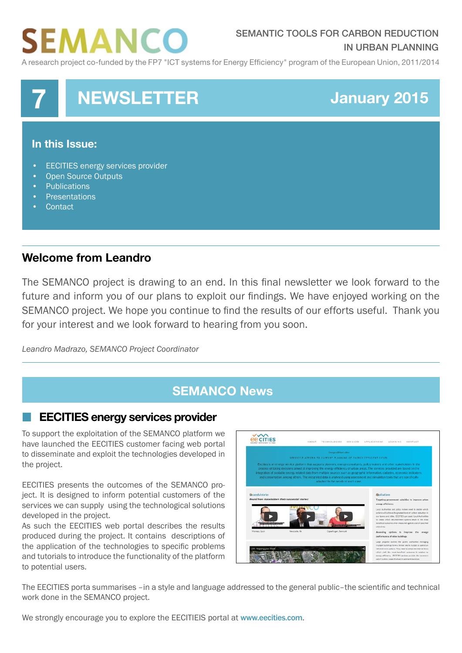# EMANCO

### SEMANTIC TOOLS FOR CARBON REDUCTION IN URBAN PLANNING

A research project co-funded by the FP7 "ICT systems for Energy Efficiency" program of the European Union, 2011/2014



# **Welcome from Leandro**

The SEMANCO project is drawing to an end. In this final newsletter we look forward to the future and inform you of our plans to exploit our findings. We have enjoyed working on the SEMANCO project. We hope you continue to find the results of our efforts useful. Thank you for your interest and we look forward to hearing from you soon.

*Leandro Madrazo, SEMANCO Project Coordinator*

# **SEMANCO News**

#### **EECITIES energy services provider**

To support the exploitation of the SEMANCO platform we have launched the EECITIES customer facing web portal to disseminate and exploit the technologies developed in the project.

EECITIES presents the outcomes of the SEMANCO project. It is designed to inform potential customers of the services we can supply using the technological solutions developed in the project.

As such the EECITIES web portal describes the results produced during the project. It contains descriptions of the application of the technologies to specific problems and tutorials to introduce the functionality of the platform to potential users.



The EECITIES porta summarises –in a style and language addressed to the general public–the scientific and technical work done in the SEMANCO project.

We strongly encourage you to explore the EECITIEIS portal at [www.eecities.com](http://www.eecities.com).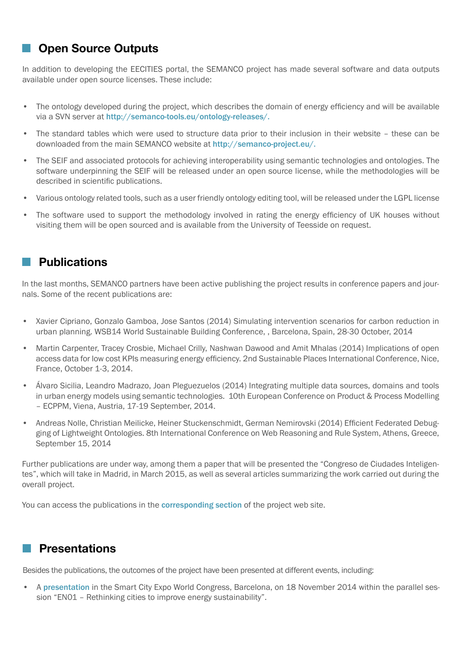# **Open Source Outputs**

In addition to developing the EECITIES portal, the SEMANCO project has made several software and data outputs available under open source licenses. These include:

- The ontology developed during the project, which describes the domain of energy efficiency and will be available via a SVN server at [http://semanco-tools.eu/ontology-releases/.](http://semanco-tools.eu/ontology-releases/)
- The standard tables which were used to structure data prior to their inclusion in their website these can be downloaded from the main SEMANCO website at <http://semanco-project.eu/>.
- The SEIF and associated protocols for achieving interoperability using semantic technologies and ontologies. The software underpinning the SEIF will be released under an open source license, while the methodologies will be described in scientific publications.
- Various ontology related tools, such as a user friendly ontology editing tool, will be released under the LGPL license
- The software used to support the methodology involved in rating the energy efficiency of UK houses without visiting them will be open sourced and is available from the University of Teesside on request.

### **Publications**

In the last months, SEMANCO partners have been active publishing the project results in conference papers and journals. Some of the recent publications are:

- Xavier Cipriano, Gonzalo Gamboa, Jose Santos (2014) Simulating intervention scenarios for carbon reduction in urban planning. WSB14 World Sustainable Building Conference, , Barcelona, Spain, 28-30 October, 2014
- Martin Carpenter, Tracey Crosbie, Michael Crilly, Nashwan Dawood and Amit Mhalas (2014) Implications of open access data for low cost KPIs measuring energy efficiency. 2nd Sustainable Places International Conference, Nice, France, October 1-3, 2014.
- Álvaro Sicilia, Leandro Madrazo, Joan Pleguezuelos (2014) Integrating multiple data sources, domains and tools in urban energy models using semantic technologies. 10th European Conference on Product & Process Modelling – ECPPM, Viena, Austria, 17-19 September, 2014.
- Andreas Nolle, Christian Meilicke, Heiner Stuckenschmidt, German Nemirovski (2014) Efficient Federated Debugging of Lightweight Ontologies. 8th International Conference on Web Reasoning and Rule System, Athens, Greece, September 15, 2014

Further publications are under way, among them a paper that will be presented the "Congreso de Ciudades Inteligentes", which will take in Madrid, in March 2015, as well as several articles summarizing the work carried out during the overall project.

You can access the publications in the [corresponding](http://www.semanco-project.eu/scientific%20publications.htm) section of the project web site.

# **Presentations**

Besides the publications, the outcomes of the project have been presented at different events, including:

• A [presentation](http://www.semanco-project.eu/index_htm_files/SCEWC14_Presentation_SEMANCO_20141118) in the Smart City Expo World Congress, Barcelona, on 18 November 2014 within the parallel session "EN01 – Rethinking cities to improve energy sustainability".